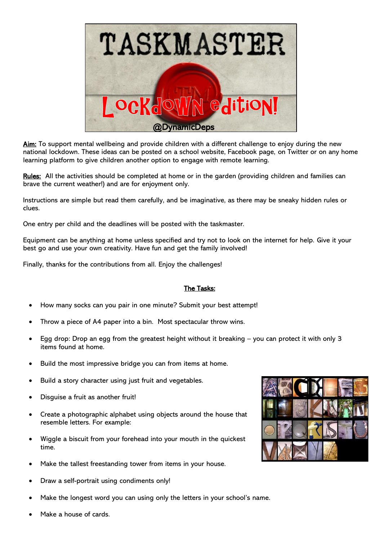

Aim: To support mental wellbeing and provide children with a different challenge to enjoy during the new national lockdown. These ideas can be posted on a school website, Facebook page, on Twitter or on any home learning platform to give children another option to engage with remote learning.

Rules: All the activities should be completed at home or in the garden (providing children and families can brave the current weather!) and are for enjoyment only.

Instructions are simple but read them carefully, and be imaginative, as there may be sneaky hidden rules or clues.

One entry per child and the deadlines will be posted with the taskmaster.

Equipment can be anything at home unless specified and try not to look on the internet for help. Give it your best go and use your own creativity. Have fun and get the family involved!

Finally, thanks for the contributions from all. Enjoy the challenges!

## The Tasks:

- How many socks can you pair in one minute? Submit your best attempt!
- Throw a piece of A4 paper into a bin. Most spectacular throw wins.
- Egg drop: Drop an egg from the greatest height without it breaking you can protect it with only 3 items found at home.
- Build the most impressive bridge you can from items at home.
- Build a story character using just fruit and vegetables.
- Disquise a fruit as another fruit!
- Create a photographic alphabet using objects around the house that resemble letters. For example:
- Wiggle a biscuit from your forehead into your mouth in the quickest time.
- Make the tallest freestanding tower from items in your house.
- Draw a self-portrait using condiments only!
- Make the longest word you can using only the letters in your school's name.



Make a house of cards.